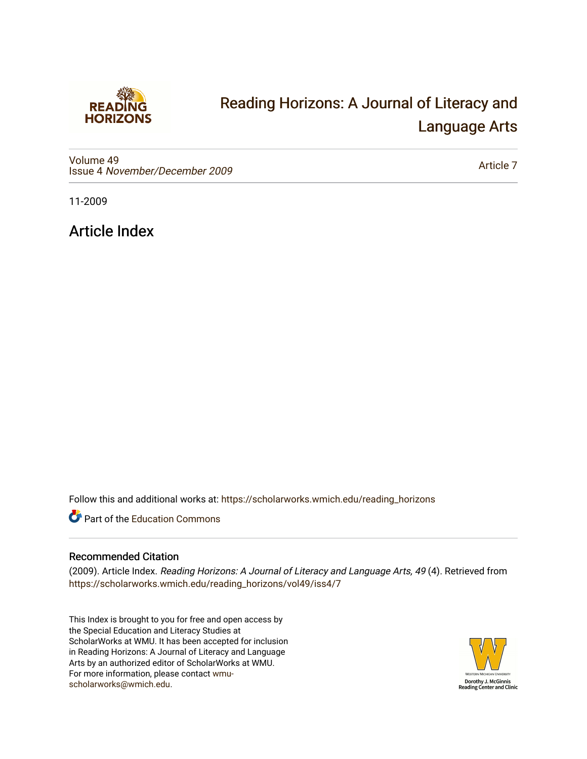

## [Reading Horizons: A Journal of Literacy and](https://scholarworks.wmich.edu/reading_horizons)  [Language Arts](https://scholarworks.wmich.edu/reading_horizons)

[Volume 49](https://scholarworks.wmich.edu/reading_horizons/vol49) Issue 4 [November/December 2009](https://scholarworks.wmich.edu/reading_horizons/vol49/iss4)

[Article 7](https://scholarworks.wmich.edu/reading_horizons/vol49/iss4/7) 

11-2009

Article Index

Follow this and additional works at: [https://scholarworks.wmich.edu/reading\\_horizons](https://scholarworks.wmich.edu/reading_horizons?utm_source=scholarworks.wmich.edu%2Freading_horizons%2Fvol49%2Fiss4%2F7&utm_medium=PDF&utm_campaign=PDFCoverPages)

Part of the [Education Commons](http://network.bepress.com/hgg/discipline/784?utm_source=scholarworks.wmich.edu%2Freading_horizons%2Fvol49%2Fiss4%2F7&utm_medium=PDF&utm_campaign=PDFCoverPages)

## Recommended Citation

(2009). Article Index. Reading Horizons: A Journal of Literacy and Language Arts, 49 (4). Retrieved from [https://scholarworks.wmich.edu/reading\\_horizons/vol49/iss4/7](https://scholarworks.wmich.edu/reading_horizons/vol49/iss4/7?utm_source=scholarworks.wmich.edu%2Freading_horizons%2Fvol49%2Fiss4%2F7&utm_medium=PDF&utm_campaign=PDFCoverPages) 

This Index is brought to you for free and open access by the Special Education and Literacy Studies at ScholarWorks at WMU. It has been accepted for inclusion in Reading Horizons: A Journal of Literacy and Language Arts by an authorized editor of ScholarWorks at WMU. For more information, please contact [wmu](mailto:wmu-scholarworks@wmich.edu)[scholarworks@wmich.edu.](mailto:wmu-scholarworks@wmich.edu)

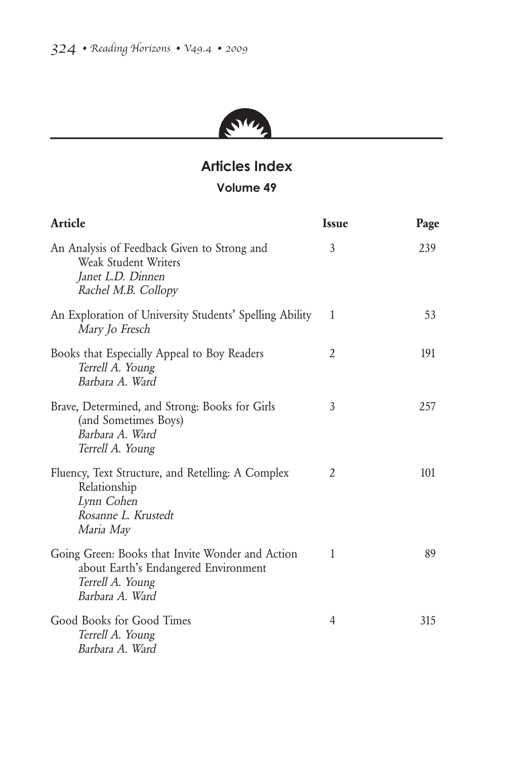

## **Articles Index Volume 49**

| Article                                                                                                                         | <b>Issue</b> | Page |
|---------------------------------------------------------------------------------------------------------------------------------|--------------|------|
| An Analysis of Feedback Given to Strong and<br>Weak Student Writers<br>Janet L.D. Dinnen<br>Rachel M.B. Collopy                 | 3            | 239  |
| An Exploration of University Students' Spelling Ability<br>Mary Jo Fresch                                                       | 1            | 53   |
| Books that Especially Appeal to Boy Readers<br>Terrell A. Young<br>Barbara A. Ward                                              | 2            | 191  |
| Brave, Determined, and Strong: Books for Girls<br>(and Sometimes Boys)<br>Barbara A. Ward<br>Terrell A. Young                   | 3            | 257  |
| Fluency, Text Structure, and Retelling: A Complex<br>Relationship<br>Lynn Cohen<br>Rosanne L. Krustedt<br>Maria May             | 2            | 101  |
| Going Green: Books that Invite Wonder and Action<br>about Earth's Endangered Environment<br>Terrell A. Young<br>Barbara A. Ward | 1            | 89   |
| Good Books for Good Times<br>Terrell A. Young<br>Barbara A. Ward                                                                | 4            | 315  |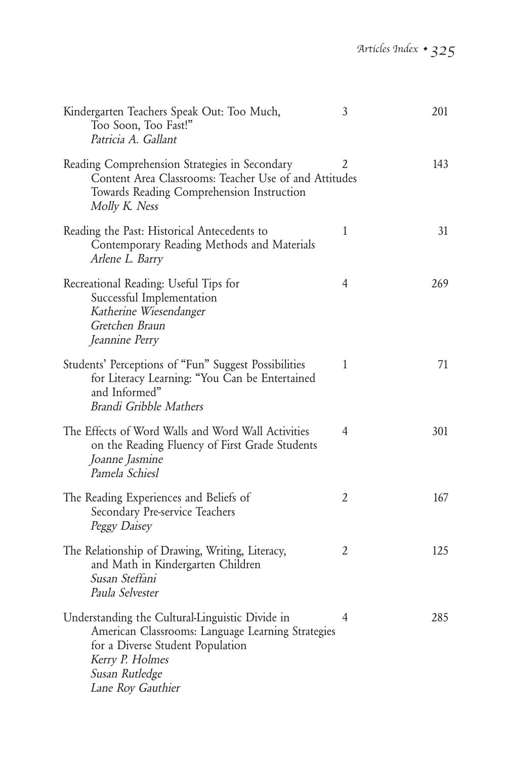| Kindergarten Teachers Speak Out: Too Much,<br>Too Soon, Too Fast!"<br>Patricia A. Gallant                                                                                                          | 3              | 201 |
|----------------------------------------------------------------------------------------------------------------------------------------------------------------------------------------------------|----------------|-----|
| Reading Comprehension Strategies in Secondary<br>Content Area Classrooms: Teacher Use of and Attitudes<br>Towards Reading Comprehension Instruction<br>Molly K. Ness                               | 2              | 143 |
| Reading the Past: Historical Antecedents to<br>Contemporary Reading Methods and Materials<br>Arlene L. Barry                                                                                       | 1              | 31  |
| Recreational Reading: Useful Tips for<br>Successful Implementation<br>Katherine Wiesendanger<br>Gretchen Braun<br>Jeannine Perry                                                                   | 4              | 269 |
| Students' Perceptions of "Fun" Suggest Possibilities<br>for Literacy Learning: "You Can be Entertained<br>and Informed"<br>Brandi Gribble Mathers                                                  | 1              | 71  |
| The Effects of Word Walls and Word Wall Activities<br>on the Reading Fluency of First Grade Students<br>Joanne Jasmine<br>Pamela Schiesl                                                           | 4              | 301 |
| The Reading Experiences and Beliefs of<br>Secondary Pre-service Teachers<br>Peggy Daisey                                                                                                           | $\overline{2}$ | 167 |
| The Relationship of Drawing, Writing, Literacy,<br>and Math in Kindergarten Children<br>Susan Steffani<br>Paula Selvester                                                                          | 2              | 125 |
| Understanding the Cultural-Linguistic Divide in<br>American Classrooms: Language Learning Strategies<br>for a Diverse Student Population<br>Kerry P. Holmes<br>Susan Rutledge<br>Lane Roy Gauthier | 4              | 285 |